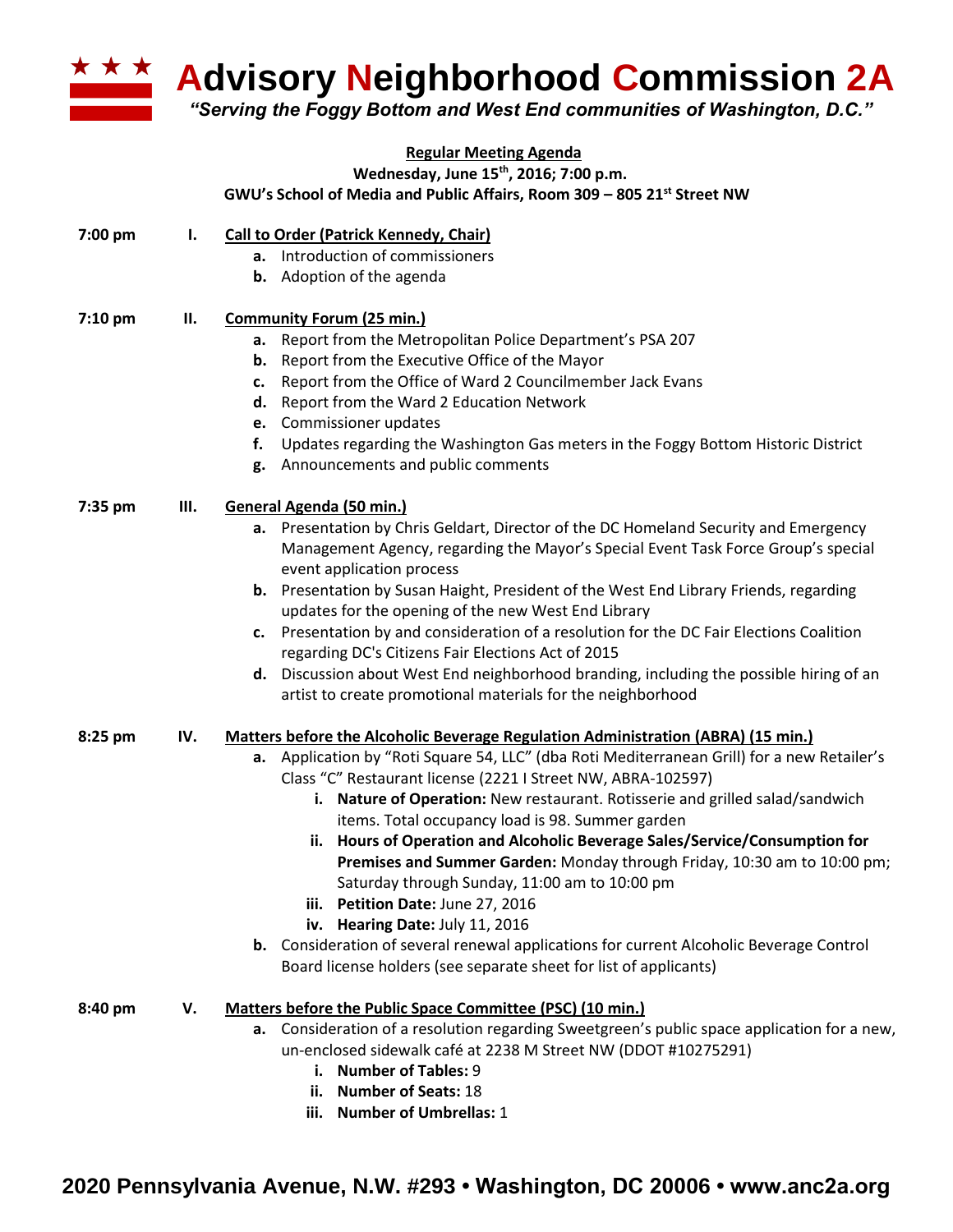

**Advisory Neighborhood Commission 2A**

*"Serving the Foggy Bottom and West End communities of Washington, D.C."*

| <b>Regular Meeting Agenda</b> |     |                                                                                                |  |
|-------------------------------|-----|------------------------------------------------------------------------------------------------|--|
|                               |     | Wednesday, June 15 <sup>th</sup> , 2016; 7:00 p.m.                                             |  |
|                               |     | GWU's School of Media and Public Affairs, Room 309 - 805 21st Street NW                        |  |
| 7:00 pm                       | Ι.  | <b>Call to Order (Patrick Kennedy, Chair)</b>                                                  |  |
|                               |     | Introduction of commissioners<br>a.                                                            |  |
|                               |     | <b>b.</b> Adoption of the agenda                                                               |  |
| 7:10 pm                       | П.  | <b>Community Forum (25 min.)</b>                                                               |  |
|                               |     | Report from the Metropolitan Police Department's PSA 207<br>а.                                 |  |
|                               |     | Report from the Executive Office of the Mayor<br>b.                                            |  |
|                               |     | Report from the Office of Ward 2 Councilmember Jack Evans<br>c.                                |  |
|                               |     | Report from the Ward 2 Education Network<br>d.                                                 |  |
|                               |     | e. Commissioner updates                                                                        |  |
|                               |     | Updates regarding the Washington Gas meters in the Foggy Bottom Historic District<br>f.        |  |
|                               |     | Announcements and public comments<br>g.                                                        |  |
| 7:35 pm                       | Ш.  | General Agenda (50 min.)                                                                       |  |
|                               |     | a. Presentation by Chris Geldart, Director of the DC Homeland Security and Emergency           |  |
|                               |     | Management Agency, regarding the Mayor's Special Event Task Force Group's special              |  |
|                               |     | event application process                                                                      |  |
|                               |     | b. Presentation by Susan Haight, President of the West End Library Friends, regarding          |  |
|                               |     | updates for the opening of the new West End Library                                            |  |
|                               |     | c. Presentation by and consideration of a resolution for the DC Fair Elections Coalition       |  |
|                               |     | regarding DC's Citizens Fair Elections Act of 2015                                             |  |
|                               |     | d. Discussion about West End neighborhood branding, including the possible hiring of an        |  |
|                               |     | artist to create promotional materials for the neighborhood                                    |  |
| 8:25 pm                       | IV. | Matters before the Alcoholic Beverage Regulation Administration (ABRA) (15 min.)               |  |
|                               |     | a. Application by "Roti Square 54, LLC" (dba Roti Mediterranean Grill) for a new Retailer's    |  |
|                               |     | Class "C" Restaurant license (2221 I Street NW, ABRA-102597)                                   |  |
|                               |     | i. Nature of Operation: New restaurant. Rotisserie and grilled salad/sandwich                  |  |
|                               |     | items. Total occupancy load is 98. Summer garden                                               |  |
|                               |     | ii. Hours of Operation and Alcoholic Beverage Sales/Service/Consumption for                    |  |
|                               |     | Premises and Summer Garden: Monday through Friday, 10:30 am to 10:00 pm;                       |  |
|                               |     | Saturday through Sunday, 11:00 am to 10:00 pm                                                  |  |
|                               |     | iii. Petition Date: June 27, 2016                                                              |  |
|                               |     | iv. Hearing Date: July 11, 2016                                                                |  |
|                               |     | <b>b.</b> Consideration of several renewal applications for current Alcoholic Beverage Control |  |
|                               |     | Board license holders (see separate sheet for list of applicants)                              |  |
| 8:40 pm                       | V.  | Matters before the Public Space Committee (PSC) (10 min.)                                      |  |
|                               |     | a. Consideration of a resolution regarding Sweetgreen's public space application for a new,    |  |
|                               |     | un-enclosed sidewalk café at 2238 M Street NW (DDOT #10275291)                                 |  |
|                               |     | i. Number of Tables: 9                                                                         |  |
|                               |     | <b>Number of Seats: 18</b><br>ii.                                                              |  |
|                               |     | iii. Number of Umbrellas: 1                                                                    |  |